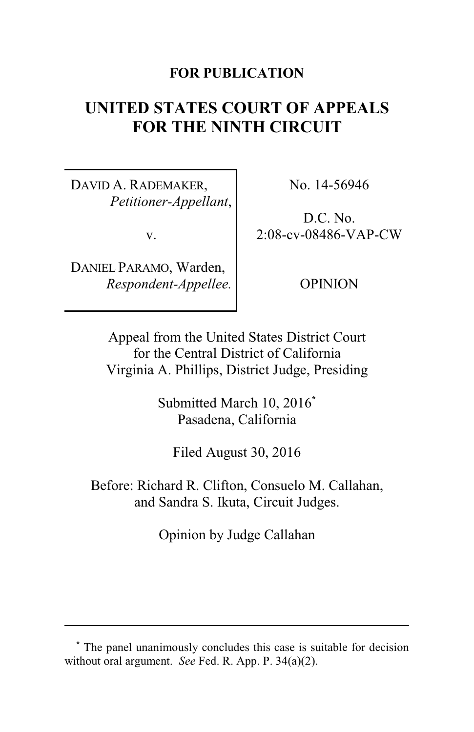## **FOR PUBLICATION**

# **UNITED STATES COURT OF APPEALS FOR THE NINTH CIRCUIT**

DAVID A. RADEMAKER, *Petitioner-Appellant*,

v.

DANIEL PARAMO, Warden, *Respondent-Appellee.* No. 14-56946

D.C. No. 2:08-cv-08486-VAP-CW

OPINION

Appeal from the United States District Court for the Central District of California Virginia A. Phillips, District Judge, Presiding

> Submitted March 10, 2016**\*** Pasadena, California

Filed August 30, 2016

Before: Richard R. Clifton, Consuelo M. Callahan, and Sandra S. Ikuta, Circuit Judges.

Opinion by Judge Callahan

**<sup>\*</sup>** The panel unanimously concludes this case is suitable for decision without oral argument. *See* Fed. R. App. P. 34(a)(2).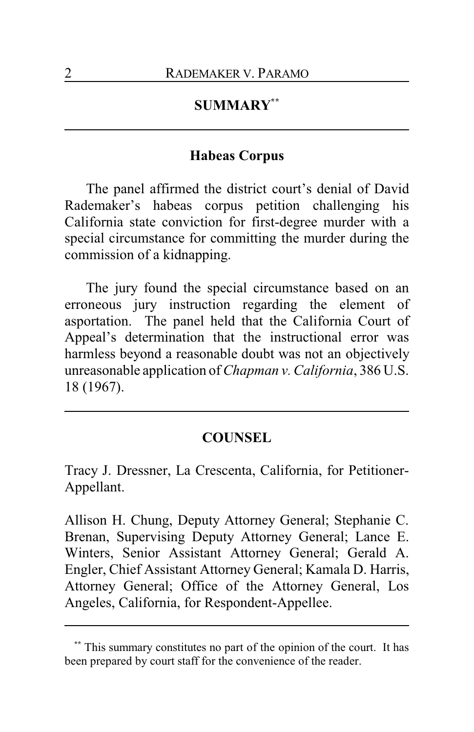# **SUMMARY\*\***

## **Habeas Corpus**

The panel affirmed the district court's denial of David Rademaker's habeas corpus petition challenging his California state conviction for first-degree murder with a special circumstance for committing the murder during the commission of a kidnapping.

The jury found the special circumstance based on an erroneous jury instruction regarding the element of asportation. The panel held that the California Court of Appeal's determination that the instructional error was harmless beyond a reasonable doubt was not an objectively unreasonable application of *Chapman v. California*, 386 U.S. 18 (1967).

#### **COUNSEL**

Tracy J. Dressner, La Crescenta, California, for Petitioner-Appellant.

Allison H. Chung, Deputy Attorney General; Stephanie C. Brenan, Supervising Deputy Attorney General; Lance E. Winters, Senior Assistant Attorney General; Gerald A. Engler, Chief Assistant Attorney General; Kamala D. Harris, Attorney General; Office of the Attorney General, Los Angeles, California, for Respondent-Appellee.

This summary constitutes no part of the opinion of the court. It has been prepared by court staff for the convenience of the reader.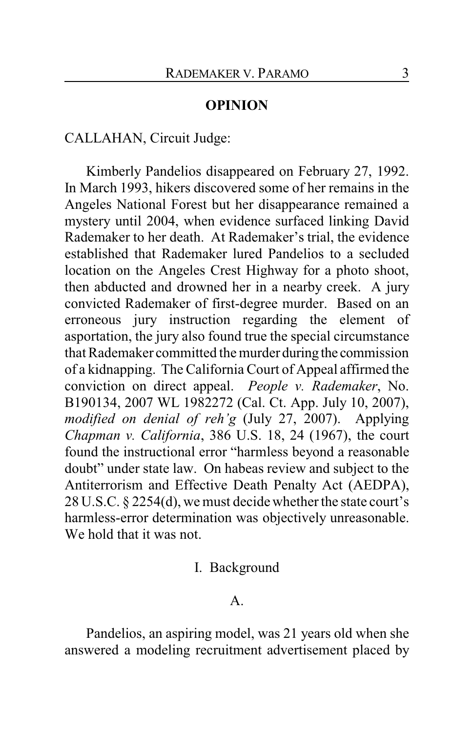### **OPINION**

## CALLAHAN, Circuit Judge:

Kimberly Pandelios disappeared on February 27, 1992. In March 1993, hikers discovered some of her remains in the Angeles National Forest but her disappearance remained a mystery until 2004, when evidence surfaced linking David Rademaker to her death. At Rademaker's trial, the evidence established that Rademaker lured Pandelios to a secluded location on the Angeles Crest Highway for a photo shoot, then abducted and drowned her in a nearby creek. A jury convicted Rademaker of first-degree murder. Based on an erroneous jury instruction regarding the element of asportation, the jury also found true the special circumstance that Rademaker committed the murder during the commission of a kidnapping. The California Court of Appeal affirmed the conviction on direct appeal. *People v. Rademaker*, No. B190134, 2007 WL 1982272 (Cal. Ct. App. July 10, 2007), *modified on denial of reh'g* (July 27, 2007). Applying *Chapman v. California*, 386 U.S. 18, 24 (1967), the court found the instructional error "harmless beyond a reasonable doubt" under state law. On habeas review and subject to the Antiterrorism and Effective Death Penalty Act (AEDPA), 28 U.S.C. § 2254(d), we must decide whether the state court's harmless-error determination was objectively unreasonable. We hold that it was not.

### I. Background

A.

Pandelios, an aspiring model, was 21 years old when she answered a modeling recruitment advertisement placed by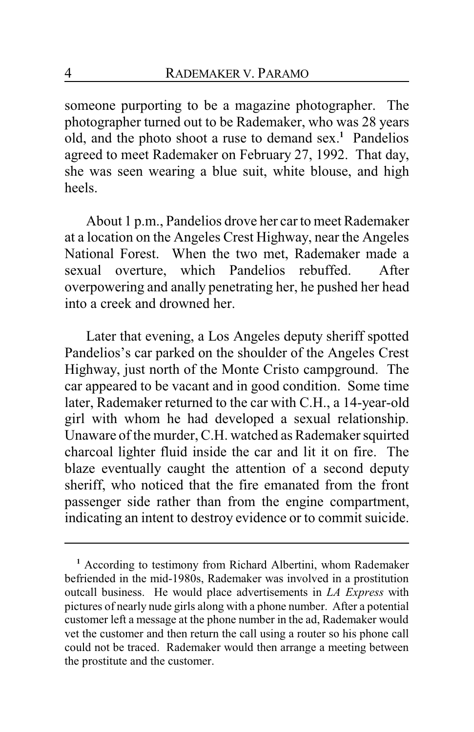someone purporting to be a magazine photographer. The photographer turned out to be Rademaker, who was 28 years old, and the photo shoot a ruse to demand sex. **<sup>1</sup>** Pandelios agreed to meet Rademaker on February 27, 1992. That day, she was seen wearing a blue suit, white blouse, and high heels.

About 1 p.m., Pandelios drove her car to meet Rademaker at a location on the Angeles Crest Highway, near the Angeles National Forest. When the two met, Rademaker made a sexual overture, which Pandelios rebuffed. After overpowering and anally penetrating her, he pushed her head into a creek and drowned her.

Later that evening, a Los Angeles deputy sheriff spotted Pandelios's car parked on the shoulder of the Angeles Crest Highway, just north of the Monte Cristo campground. The car appeared to be vacant and in good condition. Some time later, Rademaker returned to the car with C.H., a 14-year-old girl with whom he had developed a sexual relationship. Unaware of the murder, C.H. watched as Rademaker squirted charcoal lighter fluid inside the car and lit it on fire. The blaze eventually caught the attention of a second deputy sheriff, who noticed that the fire emanated from the front passenger side rather than from the engine compartment, indicating an intent to destroy evidence or to commit suicide.

**<sup>1</sup>** According to testimony from Richard Albertini, whom Rademaker befriended in the mid-1980s, Rademaker was involved in a prostitution outcall business. He would place advertisements in *LA Express* with pictures of nearly nude girls along with a phone number. After a potential customer left a message at the phone number in the ad, Rademaker would vet the customer and then return the call using a router so his phone call could not be traced. Rademaker would then arrange a meeting between the prostitute and the customer.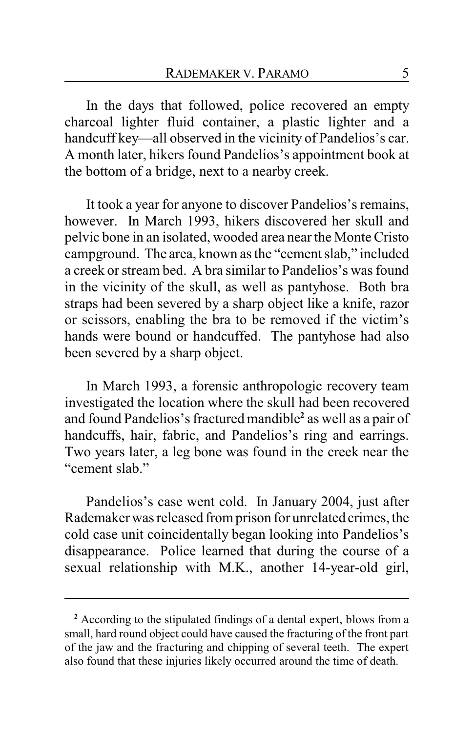In the days that followed, police recovered an empty charcoal lighter fluid container, a plastic lighter and a handcuff key—all observed in the vicinity of Pandelios's car. A month later, hikers found Pandelios's appointment book at the bottom of a bridge, next to a nearby creek.

It took a year for anyone to discover Pandelios's remains, however. In March 1993, hikers discovered her skull and pelvic bone in an isolated, wooded area near the Monte Cristo campground. The area, known as the "cement slab," included a creek or stream bed. A bra similar to Pandelios's was found in the vicinity of the skull, as well as pantyhose. Both bra straps had been severed by a sharp object like a knife, razor or scissors, enabling the bra to be removed if the victim's hands were bound or handcuffed. The pantyhose had also been severed by a sharp object.

In March 1993, a forensic anthropologic recovery team investigated the location where the skull had been recovered and found Pandelios's fractured mandible**<sup>2</sup>** as well as a pair of handcuffs, hair, fabric, and Pandelios's ring and earrings. Two years later, a leg bone was found in the creek near the "cement slab"

Pandelios's case went cold. In January 2004, just after Rademaker was released from prison for unrelated crimes, the cold case unit coincidentally began looking into Pandelios's disappearance. Police learned that during the course of a sexual relationship with M.K., another 14-year-old girl,

**<sup>2</sup>** According to the stipulated findings of a dental expert, blows from a small, hard round object could have caused the fracturing of the front part of the jaw and the fracturing and chipping of several teeth. The expert also found that these injuries likely occurred around the time of death.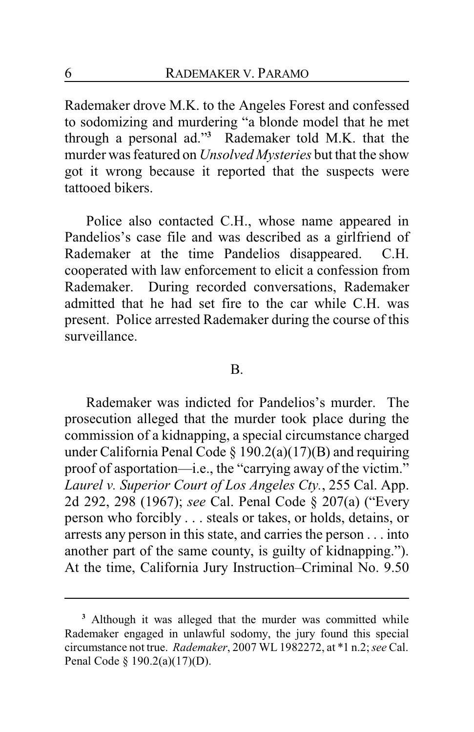Rademaker drove M.K. to the Angeles Forest and confessed to sodomizing and murdering "a blonde model that he met through a personal ad."**<sup>3</sup>** Rademaker told M.K. that the murder was featured on *Unsolved Mysteries* but that the show got it wrong because it reported that the suspects were tattooed bikers.

Police also contacted C.H., whose name appeared in Pandelios's case file and was described as a girlfriend of Rademaker at the time Pandelios disappeared. C.H. cooperated with law enforcement to elicit a confession from Rademaker. During recorded conversations, Rademaker admitted that he had set fire to the car while C.H. was present. Police arrested Rademaker during the course of this surveillance.

#### B.

Rademaker was indicted for Pandelios's murder. The prosecution alleged that the murder took place during the commission of a kidnapping, a special circumstance charged under California Penal Code § 190.2(a)(17)(B) and requiring proof of asportation—i.e., the "carrying away of the victim." *Laurel v. Superior Court of Los Angeles Cty.*, 255 Cal. App. 2d 292, 298 (1967); *see* Cal. Penal Code § 207(a) ("Every person who forcibly . . . steals or takes, or holds, detains, or arrests any person in this state, and carries the person . . . into another part of the same county, is guilty of kidnapping."). At the time, California Jury Instruction–Criminal No. 9.50

**<sup>3</sup>** Although it was alleged that the murder was committed while Rademaker engaged in unlawful sodomy, the jury found this special circumstance not true. *Rademaker*, 2007 WL 1982272, at \*1 n.2;*see* Cal. Penal Code § 190.2(a)(17)(D).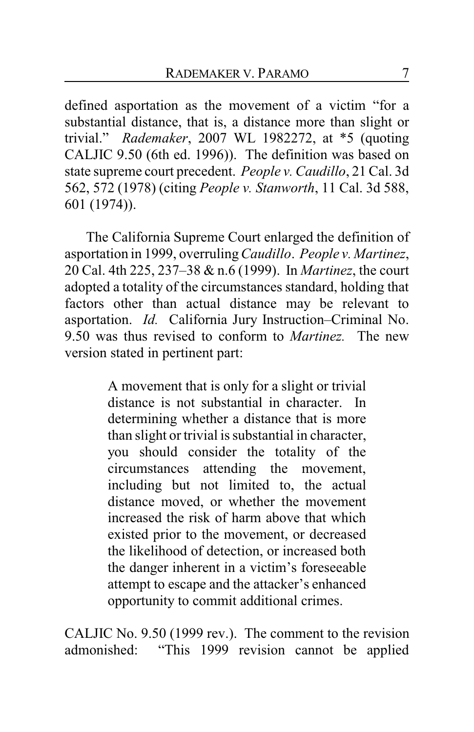defined asportation as the movement of a victim "for a substantial distance, that is, a distance more than slight or trivial." *Rademaker*, 2007 WL 1982272, at \*5 (quoting CALJIC 9.50 (6th ed. 1996)). The definition was based on state supreme court precedent. *People v. Caudillo*, 21 Cal. 3d 562, 572 (1978) (citing *People v. Stanworth*, 11 Cal. 3d 588, 601 (1974)).

The California Supreme Court enlarged the definition of asportation in 1999, overruling*Caudillo*. *People v. Martinez*, 20 Cal. 4th 225, 237–38 & n.6 (1999). In *Martinez*, the court adopted a totality of the circumstances standard, holding that factors other than actual distance may be relevant to asportation. *Id.* California Jury Instruction–Criminal No. 9.50 was thus revised to conform to *Martinez.* The new version stated in pertinent part:

> A movement that is only for a slight or trivial distance is not substantial in character. In determining whether a distance that is more than slight or trivial is substantial in character, you should consider the totality of the circumstances attending the movement, including but not limited to, the actual distance moved, or whether the movement increased the risk of harm above that which existed prior to the movement, or decreased the likelihood of detection, or increased both the danger inherent in a victim's foreseeable attempt to escape and the attacker's enhanced opportunity to commit additional crimes.

CALJIC No. 9.50 (1999 rev.). The comment to the revision admonished: "This 1999 revision cannot be applied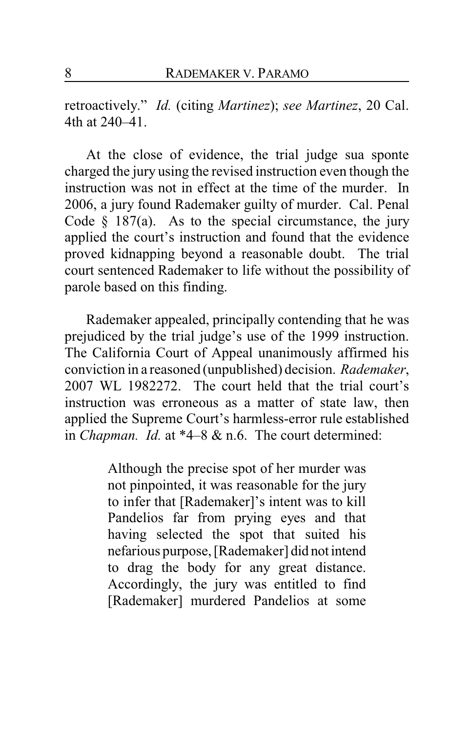retroactively." *Id.* (citing *Martinez*); *see Martinez*, 20 Cal. 4th at 240–41.

At the close of evidence, the trial judge sua sponte charged the jury using the revised instruction even though the instruction was not in effect at the time of the murder. In 2006, a jury found Rademaker guilty of murder. Cal. Penal Code  $§$  187(a). As to the special circumstance, the jury applied the court's instruction and found that the evidence proved kidnapping beyond a reasonable doubt. The trial court sentenced Rademaker to life without the possibility of parole based on this finding.

Rademaker appealed, principally contending that he was prejudiced by the trial judge's use of the 1999 instruction. The California Court of Appeal unanimously affirmed his conviction in a reasoned (unpublished) decision. *Rademaker*, 2007 WL 1982272. The court held that the trial court's instruction was erroneous as a matter of state law, then applied the Supreme Court's harmless-error rule established in *Chapman. Id.* at \*4–8 & n.6. The court determined:

> Although the precise spot of her murder was not pinpointed, it was reasonable for the jury to infer that [Rademaker]'s intent was to kill Pandelios far from prying eyes and that having selected the spot that suited his nefarious purpose, [Rademaker] did not intend to drag the body for any great distance. Accordingly, the jury was entitled to find [Rademaker] murdered Pandelios at some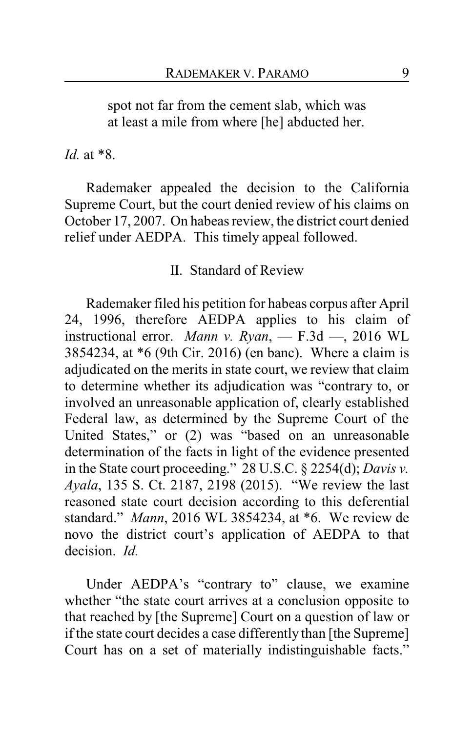spot not far from the cement slab, which was at least a mile from where [he] abducted her.

*Id.* at \*8.

Rademaker appealed the decision to the California Supreme Court, but the court denied review of his claims on October 17, 2007. On habeas review, the district court denied relief under AEDPA. This timely appeal followed.

## II. Standard of Review

Rademaker filed his petition for habeas corpus after April 24, 1996, therefore AEDPA applies to his claim of instructional error. *Mann v. Ryan*, — F.3d —, 2016 WL 3854234, at \*6 (9th Cir. 2016) (en banc). Where a claim is adjudicated on the merits in state court, we review that claim to determine whether its adjudication was "contrary to, or involved an unreasonable application of, clearly established Federal law, as determined by the Supreme Court of the United States," or (2) was "based on an unreasonable determination of the facts in light of the evidence presented in the State court proceeding." 28 U.S.C. § 2254(d); *Davis v. Ayala*, 135 S. Ct. 2187, 2198 (2015). "We review the last reasoned state court decision according to this deferential standard." *Mann*, 2016 WL 3854234, at \*6. We review de novo the district court's application of AEDPA to that decision. *Id.*

Under AEDPA's "contrary to" clause, we examine whether "the state court arrives at a conclusion opposite to that reached by [the Supreme] Court on a question of law or if the state court decides a case differently than [the Supreme] Court has on a set of materially indistinguishable facts."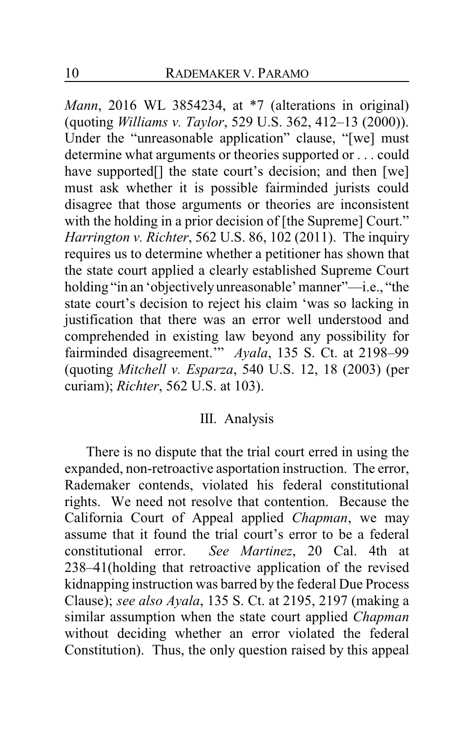*Mann*, 2016 WL 3854234, at \*7 (alterations in original) (quoting *Williams v. Taylor*, 529 U.S. 362, 412–13 (2000)). Under the "unreasonable application" clause, "[we] must determine what arguments or theories supported or . . . could have supported<sup>[]</sup> the state court's decision; and then [we] must ask whether it is possible fairminded jurists could disagree that those arguments or theories are inconsistent with the holding in a prior decision of [the Supreme] Court." *Harrington v. Richter*, 562 U.S. 86, 102 (2011). The inquiry requires us to determine whether a petitioner has shown that the state court applied a clearly established Supreme Court holding "in an 'objectivelyunreasonable' manner"—i.e., "the state court's decision to reject his claim 'was so lacking in justification that there was an error well understood and comprehended in existing law beyond any possibility for fairminded disagreement.'" *Ayala*, 135 S. Ct. at 2198–99 (quoting *Mitchell v. Esparza*, 540 U.S. 12, 18 (2003) (per curiam); *Richter*, 562 U.S. at 103).

#### III. Analysis

There is no dispute that the trial court erred in using the expanded, non-retroactive asportation instruction. The error, Rademaker contends, violated his federal constitutional rights. We need not resolve that contention. Because the California Court of Appeal applied *Chapman*, we may assume that it found the trial court's error to be a federal constitutional error. *See Martinez*, 20 Cal. 4th at 238–41(holding that retroactive application of the revised kidnapping instruction was barred by the federal Due Process Clause); *see also Ayala*, 135 S. Ct. at 2195, 2197 (making a similar assumption when the state court applied *Chapman* without deciding whether an error violated the federal Constitution). Thus, the only question raised by this appeal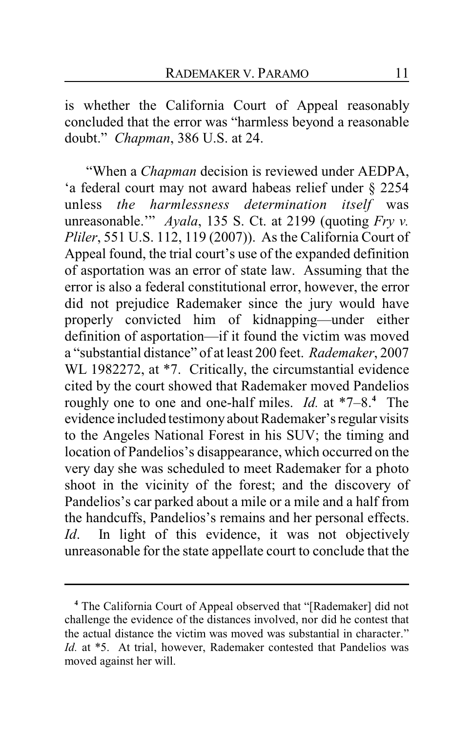is whether the California Court of Appeal reasonably concluded that the error was "harmless beyond a reasonable doubt." *Chapman*, 386 U.S. at 24.

"When a *Chapman* decision is reviewed under AEDPA, 'a federal court may not award habeas relief under § 2254 unless *the harmlessness determination itself* was unreasonable.'" *Ayala*, 135 S. Ct. at 2199 (quoting *Fry v. Pliler*, 551 U.S. 112, 119 (2007)). As the California Court of Appeal found, the trial court's use of the expanded definition of asportation was an error of state law. Assuming that the error is also a federal constitutional error, however, the error did not prejudice Rademaker since the jury would have properly convicted him of kidnapping—under either definition of asportation—if it found the victim was moved a "substantial distance" of at least 200 feet. *Rademaker*, 2007 WL 1982272, at \*7. Critically, the circumstantial evidence cited by the court showed that Rademaker moved Pandelios roughly one to one and one-half miles. *Id.* at \*7–8. **<sup>4</sup>** The evidence included testimony about Rademaker's regular visits to the Angeles National Forest in his SUV; the timing and location of Pandelios's disappearance, which occurred on the very day she was scheduled to meet Rademaker for a photo shoot in the vicinity of the forest; and the discovery of Pandelios's car parked about a mile or a mile and a half from the handcuffs, Pandelios's remains and her personal effects. *Id*. In light of this evidence, it was not objectively unreasonable for the state appellate court to conclude that the

**<sup>4</sup>** The California Court of Appeal observed that "[Rademaker] did not challenge the evidence of the distances involved, nor did he contest that the actual distance the victim was moved was substantial in character." *Id.* at \*5. At trial, however, Rademaker contested that Pandelios was moved against her will.